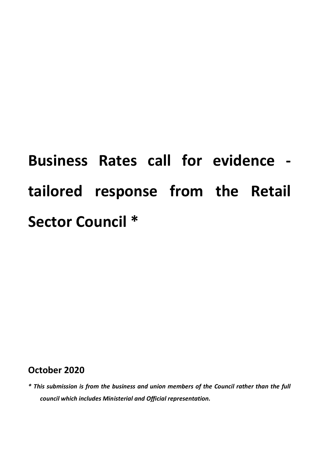# **Business Rates call for evidence tailored response from the Retail Sector Council \***

# **October 2020**

*\* This submission is from the business and union members of the Council rather than the full council which includes Ministerial and Official representation.*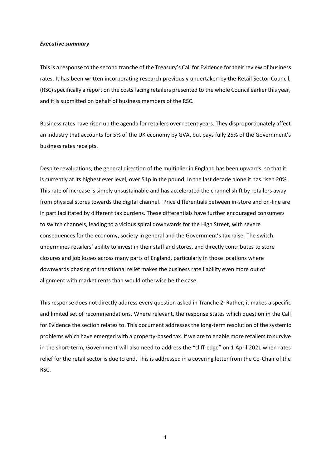#### *Executive summary*

This is a response to the second tranche of the Treasury's Call for Evidence for their review of business rates. It has been written incorporating research previously undertaken by the Retail Sector Council, (RSC) specifically a report on the costs facing retailers presented to the whole Council earlier this year, and it is submitted on behalf of business members of the RSC.

Business rates have risen up the agenda for retailers over recent years. They disproportionately affect an industry that accounts for 5% of the UK economy by GVA, but pays fully 25% of the Government's business rates receipts.

Despite revaluations, the general direction of the multiplier in England has been upwards, so that it is currently at its highest ever level, over 51p in the pound. In the last decade alone it has risen 20%. This rate of increase is simply unsustainable and has accelerated the channel shift by retailers away from physical stores towards the digital channel. Price differentials between in-store and on-line are in part facilitated by different tax burdens. These differentials have further encouraged consumers to switch channels, leading to a vicious spiral downwards for the High Street, with severe consequences for the economy, society in general and the Government's tax raise. The switch undermines retailers' ability to invest in their staff and stores, and directly contributes to store closures and job losses across many parts of England, particularly in those locations where downwards phasing of transitional relief makes the business rate liability even more out of alignment with market rents than would otherwise be the case.

This response does not directly address every question asked in Tranche 2. Rather, it makes a specific and limited set of recommendations. Where relevant, the response states which question in the Call for Evidence the section relates to. This document addresses the long-term resolution of the systemic problems which have emerged with a property-based tax. If we are to enable more retailers to survive in the short-term, Government will also need to address the "cliff-edge" on 1 April 2021 when rates relief for the retail sector is due to end. This is addressed in a covering letter from the Co-Chair of the RSC.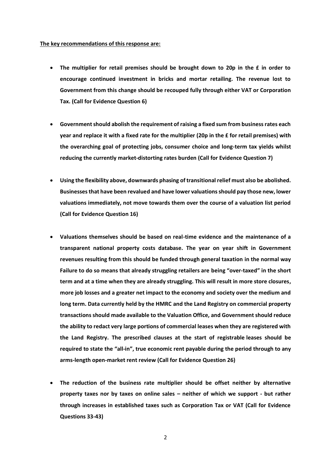#### **The key recommendations of this response are:**

- **The multiplier for retail premises should be brought down to 20p in the £ in order to encourage continued investment in bricks and mortar retailing. The revenue lost to Government from this change should be recouped fully through either VAT or Corporation Tax. (Call for Evidence Question 6)**
- **Government should abolish the requirement of raising a fixed sum from business rates each year and replace it with a fixed rate for the multiplier (20p in the £ for retail premises) with the overarching goal of protecting jobs, consumer choice and long-term tax yields whilst reducing the currently market-distorting rates burden (Call for Evidence Question 7)**
- **Using the flexibility above, downwards phasing of transitional relief must also be abolished. Businesses that have been revalued and have lower valuations should pay those new, lower valuations immediately, not move towards them over the course of a valuation list period (Call for Evidence Question 16)**
- **Valuations themselves should be based on real-time evidence and the maintenance of a transparent national property costs database. The year on year shift in Government revenues resulting from this should be funded through general taxation in the normal way Failure to do so means that already struggling retailers are being "over-taxed" in the short term and at a time when they are already struggling. This will result in more store closures, more job losses and a greater net impact to the economy and society over the medium and long term. Data currently held by the HMRC and the Land Registry on commercial property transactions should made available to the Valuation Office, and Government should reduce the ability to redact very large portions of commercial leases when they are registered with the Land Registry. The prescribed clauses at the start of registrable leases should be required to state the "all-in", true economic rent payable during the period through to any arms-length open-market rent review (Call for Evidence Question 26)**
- **The reduction of the business rate multiplier should be offset neither by alternative property taxes nor by taxes on online sales – neither of which we support - but rather through increases in established taxes such as Corporation Tax or VAT (Call for Evidence Questions 33-43)**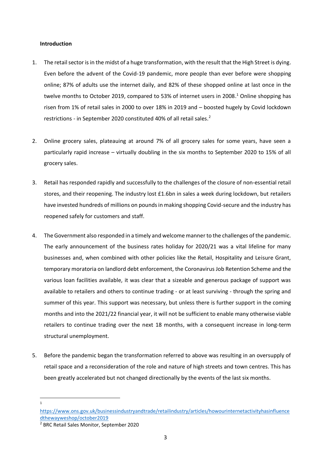# **Introduction**

- 1. The retail sector is in the midst of a huge transformation, with the result that the High Street is dying. Even before the advent of the Covid-19 pandemic, more people than ever before were shopping online; 87% of adults use the internet daily, and 82% of these shopped online at last once in the twelve months to October 2019, compared to 53% of internet users in 2008.<sup>1</sup> Online shopping has risen from 1% of retail sales in 2000 to over 18% in 2019 and – boosted hugely by Covid lockdown restrictions - in September 2020 constituted 40% of all retail sales.<sup>2</sup>
- 2. Online grocery sales, plateauing at around 7% of all grocery sales for some years, have seen a particularly rapid increase – virtually doubling in the six months to September 2020 to 15% of all grocery sales.
- 3. Retail has responded rapidly and successfully to the challenges of the closure of non-essential retail stores, and their reopening. The industry lost £1.6bn in sales a week during lockdown, but retailers have invested hundreds of millions on pounds in making shopping Covid-secure and the industry has reopened safely for customers and staff.
- 4. The Government also responded in a timely and welcome manner to the challenges of the pandemic. The early announcement of the business rates holiday for 2020/21 was a vital lifeline for many businesses and, when combined with other policies like the Retail, Hospitality and Leisure Grant, temporary moratoria on landlord debt enforcement, the Coronavirus Job Retention Scheme and the various loan facilities available, it was clear that a sizeable and generous package of support was available to retailers and others to continue trading - or at least surviving - through the spring and summer of this year. This support was necessary, but unless there is further support in the coming months and into the 2021/22 financial year, it will not be sufficient to enable many otherwise viable retailers to continue trading over the next 18 months, with a consequent increase in long-term structural unemployment.
- 5. Before the pandemic began the transformation referred to above was resulting in an oversupply of retail space and a reconsideration of the role and nature of high streets and town centres. This has been greatly accelerated but not changed directionally by the events of the last six months.
	- 1

[https://www.ons.gov.uk/businessindustryandtrade/retailindustry/articles/howourinternetactivityhasinfluence](https://www.ons.gov.uk/businessindustryandtrade/retailindustry/articles/howourinternetactivityhasinfluencedthewayweshop/october2019) [dthewayweshop/october2019](https://www.ons.gov.uk/businessindustryandtrade/retailindustry/articles/howourinternetactivityhasinfluencedthewayweshop/october2019)

<sup>2</sup> BRC Retail Sales Monitor, September 2020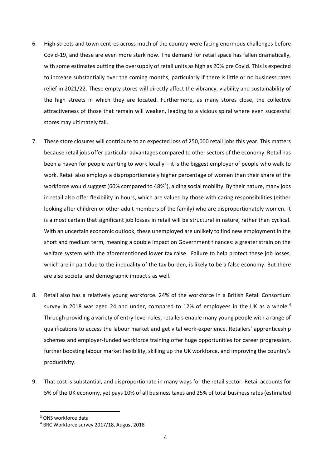- 6. High streets and town centres across much of the country were facing enormous challenges before Covid-19, and these are even more stark now. The demand for retail space has fallen dramatically, with some estimates putting the oversupply of retail units as high as 20% pre Covid. This is expected to increase substantially over the coming months, particularly if there is little or no business rates relief in 2021/22. These empty stores will directly affect the vibrancy, viability and sustainability of the high streets in which they are located. Furthermore, as many stores close, the collective attractiveness of those that remain will weaken, leading to a vicious spiral where even successful stores may ultimately fail.
- 7. These store closures will contribute to an expected loss of 250,000 retail jobs this year. This matters because retail jobs offer particular advantages compared to other sectors of the economy. Retail has been a haven for people wanting to work locally – it is the biggest employer of people who walk to work. Retail also employs a disproportionately higher percentage of women than their share of the workforce would suggest (60% compared to 48%<sup>3</sup>), aiding social mobility. By their nature, many jobs in retail also offer flexibility in hours, which are valued by those with caring responsibilities (either looking after children or other adult members of the family) who are disproportionately women. It is almost certain that significant job losses in retail will be structural in nature, rather than cyclical. With an uncertain economic outlook, these unemployed are unlikely to find new employment in the short and medium term, meaning a double impact on Government finances: a greater strain on the welfare system with the aforementioned lower tax raise. Failure to help protect these job losses, which are in part due to the inequality of the tax burden, is likely to be a false economy. But there are also societal and demographic impact s as well.
- 8. Retail also has a relatively young workforce. 24% of the workforce in a British Retail Consortium survey in 2018 was aged 24 and under, compared to 12% of employees in the UK as a whole.<sup>4</sup> Through providing a variety of entry-level roles, retailers enable many young people with a range of qualifications to access the labour market and get vital work-experience. Retailers' apprenticeship schemes and employer-funded workforce training offer huge opportunities for career progression, further boosting labour market flexibility, skilling up the UK workforce, and improving the country's productivity.
- 9. That cost is substantial, and disproportionate in many ways for the retail sector. Retail accounts for 5% of the UK economy, yet pays 10% of all business taxes and 25% of total business rates (estimated

<sup>&</sup>lt;sup>3</sup> ONS workforce data

<sup>4</sup> BRC Workforce survey 2017/18, August 2018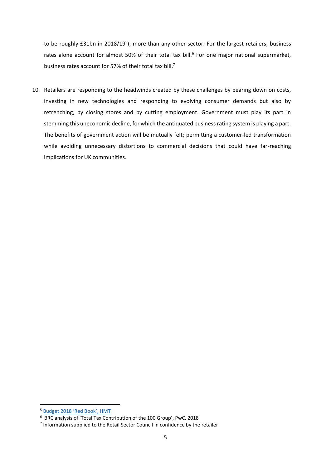to be roughly £31bn in 2018/19<sup>5</sup>); more than any other sector. For the largest retailers, business rates alone account for almost 50% of their total tax bill.<sup>6</sup> For one major national supermarket, business rates account for 57% of their total tax bill.<sup>7</sup>

10. Retailers are responding to the headwinds created by these challenges by bearing down on costs, investing in new technologies and responding to evolving consumer demands but also by retrenching, by closing stores and by cutting employment. Government must play its part in stemming this uneconomic decline, for which the antiquated business rating system is playing a part. The benefits of government action will be mutually felt; permitting a customer-led transformation while avoiding unnecessary distortions to commercial decisions that could have far-reaching implications for UK communities.

<sup>5</sup> [Budget 2018 'Red Book', HMT](https://assets.publishing.service.gov.uk/government/uploads/system/uploads/attachment_data/file/752202/Budget_2018_red_web.pdf)

<sup>6</sup> BRC analysis of 'Total Tax Contribution of the 100 Group', PwC, 2018

<sup>&</sup>lt;sup>7</sup> Information supplied to the Retail Sector Council in confidence by the retailer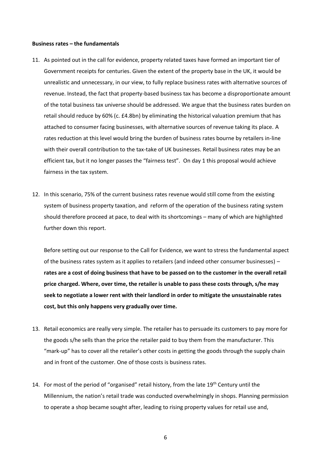#### **Business rates – the fundamentals**

- 11. As pointed out in the call for evidence, property related taxes have formed an important tier of Government receipts for centuries. Given the extent of the property base in the UK, it would be unrealistic and unnecessary, in our view, to fully replace business rates with alternative sources of revenue. Instead, the fact that property-based business tax has become a disproportionate amount of the total business tax universe should be addressed. We argue that the business rates burden on retail should reduce by 60% (c. £4.8bn) by eliminating the historical valuation premium that has attached to consumer facing businesses, with alternative sources of revenue taking its place. A rates reduction at this level would bring the burden of business rates bourne by retailers in-line with their overall contribution to the tax-take of UK businesses. Retail business rates may be an efficient tax, but it no longer passes the "fairness test". On day 1 this proposal would achieve fairness in the tax system.
- 12. In this scenario, 75% of the current business rates revenue would still come from the existing system of business property taxation, and reform of the operation of the business rating system should therefore proceed at pace, to deal with its shortcomings – many of which are highlighted further down this report.

Before setting out our response to the Call for Evidence, we want to stress the fundamental aspect of the business rates system as it applies to retailers (and indeed other consumer businesses) – **rates are a cost of doing business that have to be passed on to the customer in the overall retail price charged. Where, over time, the retailer is unable to pass these costs through, s/he may seek to negotiate a lower rent with their landlord in order to mitigate the unsustainable rates cost, but this only happens very gradually over time.**

- 13. Retail economics are really very simple. The retailer has to persuade its customers to pay more for the goods s/he sells than the price the retailer paid to buy them from the manufacturer. This "mark-up" has to cover all the retailer's other costs in getting the goods through the supply chain and in front of the customer. One of those costs is business rates.
- 14. For most of the period of "organised" retail history, from the late  $19<sup>th</sup>$  Century until the Millennium, the nation's retail trade was conducted overwhelmingly in shops. Planning permission to operate a shop became sought after, leading to rising property values for retail use and,

6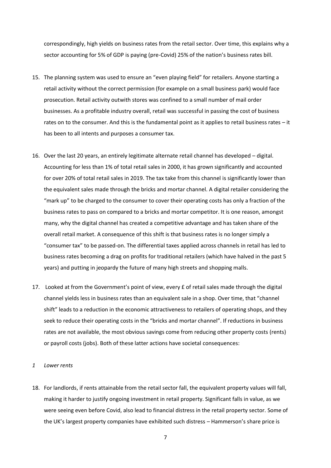correspondingly, high yields on business rates from the retail sector. Over time, this explains why a sector accounting for 5% of GDP is paying (pre-Covid) 25% of the nation's business rates bill.

- 15. The planning system was used to ensure an "even playing field" for retailers. Anyone starting a retail activity without the correct permission (for example on a small business park) would face prosecution. Retail activity outwith stores was confined to a small number of mail order businesses. As a profitable industry overall, retail was successful in passing the cost of business rates on to the consumer. And this is the fundamental point as it applies to retail business rates – it has been to all intents and purposes a consumer tax.
- 16. Over the last 20 years, an entirely legitimate alternate retail channel has developed digital. Accounting for less than 1% of total retail sales in 2000, it has grown significantly and accounted for over 20% of total retail sales in 2019. The tax take from this channel is significantly lower than the equivalent sales made through the bricks and mortar channel. A digital retailer considering the "mark up" to be charged to the consumer to cover their operating costs has only a fraction of the business rates to pass on compared to a bricks and mortar competitor. It is one reason, amongst many, why the digital channel has created a competitive advantage and has taken share of the overall retail market. A consequence of this shift is that business rates is no longer simply a "consumer tax" to be passed-on. The differential taxes applied across channels in retail has led to business rates becoming a drag on profits for traditional retailers (which have halved in the past 5 years) and putting in jeopardy the future of many high streets and shopping malls.
- 17. Looked at from the Government's point of view, every £ of retail sales made through the digital channel yields less in business rates than an equivalent sale in a shop. Over time, that "channel shift" leads to a reduction in the economic attractiveness to retailers of operating shops, and they seek to reduce their operating costs in the "bricks and mortar channel". If reductions in business rates are not available, the most obvious savings come from reducing other property costs (rents) or payroll costs (jobs). Both of these latter actions have societal consequences:

#### *1 Lower rents*

18. For landlords, if rents attainable from the retail sector fall, the equivalent property values will fall, making it harder to justify ongoing investment in retail property. Significant falls in value, as we were seeing even before Covid, also lead to financial distress in the retail property sector. Some of the UK's largest property companies have exhibited such distress – Hammerson's share price is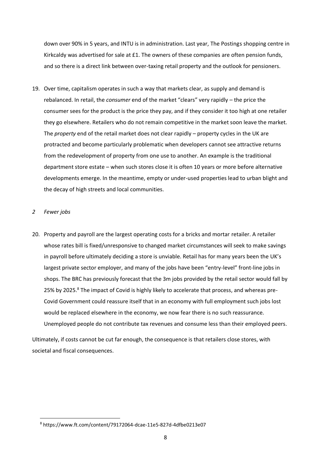down over 90% in 5 years, and INTU is in administration. Last year, The Postings shopping centre in Kirkcaldy was advertised for sale at £1. The owners of these companies are often pension funds, and so there is a direct link between over-taxing retail property and the outlook for pensioners.

19. Over time, capitalism operates in such a way that markets clear, as supply and demand is rebalanced. In retail, the *consumer* end of the market "clears" very rapidly – the price the consumer sees for the product is the price they pay, and if they consider it too high at one retailer they go elsewhere. Retailers who do not remain competitive in the market soon leave the market. The *property* end of the retail market does not clear rapidly – property cycles in the UK are protracted and become particularly problematic when developers cannot see attractive returns from the redevelopment of property from one use to another. An example is the traditional department store estate – when such stores close it is often 10 years or more before alternative developments emerge. In the meantime, empty or under-used properties lead to urban blight and the decay of high streets and local communities.

# *2 Fewer jobs*

20. Property and payroll are the largest operating costs for a bricks and mortar retailer. A retailer whose rates bill is fixed/unresponsive to changed market circumstances will seek to make savings in payroll before ultimately deciding a store is unviable. Retail has for many years been the UK's largest private sector employer, and many of the jobs have been "entry-level" front-line jobs in shops. The BRC has previously forecast that the 3m jobs provided by the retail sector would fall by 25% by 2025.<sup>8</sup> The impact of Covid is highly likely to accelerate that process, and whereas pre-Covid Government could reassure itself that in an economy with full employment such jobs lost would be replaced elsewhere in the economy, we now fear there is no such reassurance. Unemployed people do not contribute tax revenues and consume less than their employed peers.

Ultimately, if costs cannot be cut far enough, the consequence is that retailers close stores, with societal and fiscal consequences.

<sup>8</sup> https://www.ft.com/content/79172064-dcae-11e5-827d-4dfbe0213e07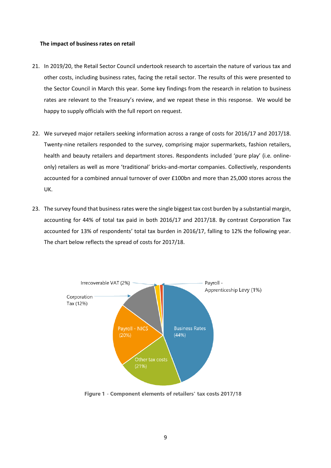### **The impact of business rates on retail**

- 21. In 2019/20, the Retail Sector Council undertook research to ascertain the nature of various tax and other costs, including business rates, facing the retail sector. The results of this were presented to the Sector Council in March this year. Some key findings from the research in relation to business rates are relevant to the Treasury's review, and we repeat these in this response. We would be happy to supply officials with the full report on request.
- 22. We surveyed major retailers seeking information across a range of costs for 2016/17 and 2017/18. Twenty-nine retailers responded to the survey, comprising major supermarkets, fashion retailers, health and beauty retailers and department stores. Respondents included 'pure play' (i.e. onlineonly) retailers as well as more 'traditional' bricks-and-mortar companies. Collectively, respondents accounted for a combined annual turnover of over £100bn and more than 25,000 stores across the UK.
- 23. The survey found that business rates were the single biggest tax cost burden by a substantial margin, accounting for 44% of total tax paid in both 2016/17 and 2017/18. By contrast Corporation Tax accounted for 13% of respondents' total tax burden in 2016/17, falling to 12% the following year. The chart below reflects the spread of costs for 2017/18.



Figure 1 - Component elements of retailers' tax costs 2017/18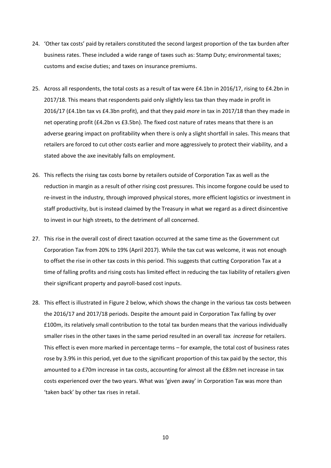- 24. 'Other tax costs' paid by retailers constituted the second largest proportion of the tax burden after business rates. These included a wide range of taxes such as: Stamp Duty; environmental taxes; customs and excise duties; and taxes on insurance premiums.
- 25. Across all respondents, the total costs as a result of tax were £4.1bn in 2016/17, rising to £4.2bn in 2017/18. This means that respondents paid only slightly less tax than they made in profit in 2016/17 (£4.1bn tax vs £4.3bn profit), and that they paid *more* in tax in 2017/18 than they made in net operating profit (£4.2bn vs £3.5bn). The fixed cost nature of rates means that there is an adverse gearing impact on profitability when there is only a slight shortfall in sales. This means that retailers are forced to cut other costs earlier and more aggressively to protect their viability, and a stated above the axe inevitably falls on employment.
- 26. This reflects the rising tax costs borne by retailers outside of Corporation Tax as well as the reduction in margin as a result of other rising cost pressures. This income forgone could be used to re-invest in the industry, through improved physical stores, more efficient logistics or investment in staff productivity, but is instead claimed by the Treasury in what we regard as a direct disincentive to invest in our high streets, to the detriment of all concerned.
- 27. This rise in the overall cost of direct taxation occurred at the same time as the Government cut Corporation Tax from 20% to 19% (April 2017). While the tax cut was welcome, it was not enough to offset the rise in other tax costs in this period. This suggests that cutting Corporation Tax at a time of falling profits and rising costs has limited effect in reducing the tax liability of retailers given their significant property and payroll-based cost inputs.
- 28. This effect is illustrated in Figure 2 below, which shows the change in the various tax costs between the 2016/17 and 2017/18 periods. Despite the amount paid in Corporation Tax falling by over £100m, its relatively small contribution to the total tax burden means that the various individually smaller rises in the other taxes in the same period resulted in an overall tax *increase* for retailers. This effect is even more marked in percentage terms – for example, the total cost of business rates rose by 3.9% in this period, yet due to the significant proportion of this tax paid by the sector, this amounted to a £70m increase in tax costs, accounting for almost all the £83m net increase in tax costs experienced over the two years. What was 'given away' in Corporation Tax was more than 'taken back' by other tax rises in retail.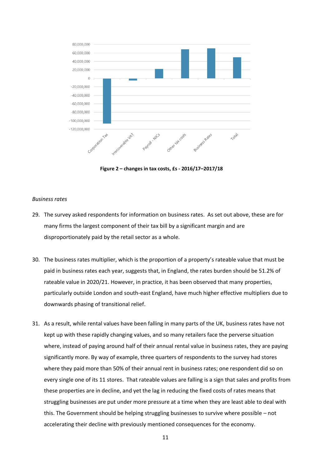

**Figure 2 – changes in tax costs, £s - 2016/17–2017/18**

#### *Business rates*

- 29. The survey asked respondents for information on business rates. As set out above, these are for many firms the largest component of their tax bill by a significant margin and are disproportionately paid by the retail sector as a whole.
- 30. The business rates multiplier, which is the proportion of a property's rateable value that must be paid in business rates each year, suggests that, in England, the rates burden should be 51.2% of rateable value in 2020/21. However, in practice, it has been observed that many properties, particularly outside London and south-east England, have much higher effective multipliers due to downwards phasing of transitional relief.
- 31. As a result, while rental values have been falling in many parts of the UK, business rates have not kept up with these rapidly changing values, and so many retailers face the perverse situation where, instead of paying around half of their annual rental value in business rates, they are paying significantly more. By way of example, three quarters of respondents to the survey had stores where they paid more than 50% of their annual rent in business rates; one respondent did so on every single one of its 11 stores. That rateable values are falling is a sign that sales and profits from these properties are in decline, and yet the lag in reducing the fixed costs of rates means that struggling businesses are put under more pressure at a time when they are least able to deal with this. The Government should be helping struggling businesses to survive where possible – not accelerating their decline with previously mentioned consequences for the economy.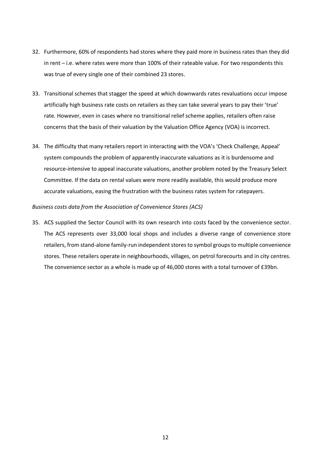- 32. Furthermore, 60% of respondents had stores where they paid more in business rates than they did in rent – i.e. where rates were more than 100% of their rateable value. For two respondents this was true of every single one of their combined 23 stores.
- 33. Transitional schemes that stagger the speed at which downwards rates revaluations occur impose artificially high business rate costs on retailers as they can take several years to pay their 'true' rate. However, even in cases where no transitional relief scheme applies, retailers often raise concerns that the basis of their valuation by the Valuation Office Agency (VOA) is incorrect.
- 34. The difficulty that many retailers report in interacting with the VOA's 'Check Challenge, Appeal' system compounds the problem of apparently inaccurate valuations as it is burdensome and resource-intensive to appeal inaccurate valuations, another problem noted by the Treasury Select Committee. If the data on rental values were more readily available, this would produce more accurate valuations, easing the frustration with the business rates system for ratepayers.

# *Business costs data from the Association of Convenience Stores (ACS)*

35. ACS supplied the Sector Council with its own research into costs faced by the convenience sector. The ACS represents over 33,000 local shops and includes a diverse range of convenience store retailers, from stand-alone family-run independent stores to symbol groups to multiple convenience stores. These retailers operate in neighbourhoods, villages, on petrol forecourts and in city centres. The convenience sector as a whole is made up of 46,000 stores with a total turnover of £39bn.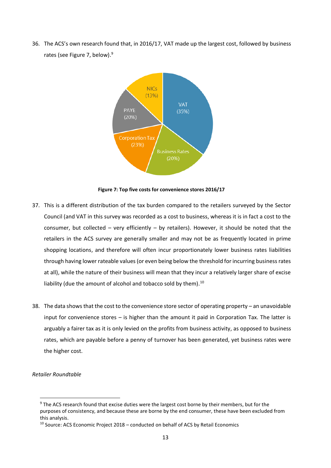36. The ACS's own research found that, in 2016/17, VAT made up the largest cost, followed by business rates (see Figure 7, below).<sup>9</sup>



**Figure 7: Top five costs for convenience stores 2016/17**

- 37. This is a different distribution of the tax burden compared to the retailers surveyed by the Sector Council (and VAT in this survey was recorded as a cost to business, whereas it is in fact a cost to the consumer, but collected – very efficiently – by retailers). However, it should be noted that the retailers in the ACS survey are generally smaller and may not be as frequently located in prime shopping locations, and therefore will often incur proportionately lower business rates liabilities through having lower rateable values (or even being below the threshold for incurring business rates at all), while the nature of their business will mean that they incur a relatively larger share of excise liability (due the amount of alcohol and tobacco sold by them).<sup>10</sup>
- 38. The data shows that the cost to the convenience store sector of operating property an unavoidable input for convenience stores – is higher than the amount it paid in Corporation Tax. The latter is arguably a fairer tax as it is only levied on the profits from business activity, as opposed to business rates, which are payable before a penny of turnover has been generated, yet business rates were the higher cost.

# *Retailer Roundtable*

<sup>&</sup>lt;sup>9</sup> The ACS research found that excise duties were the largest cost borne by their members, but for the purposes of consistency, and because these are borne by the end consumer, these have been excluded from this analysis.

 $10$  Source: ACS Economic Project 2018 – conducted on behalf of ACS by Retail Economics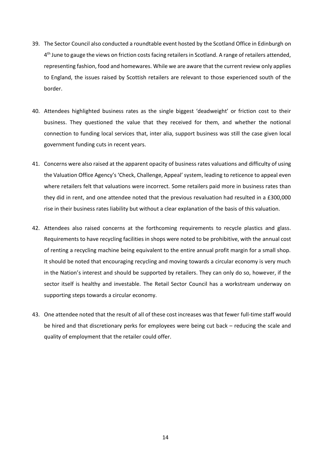- 39. The Sector Council also conducted a roundtable event hosted by the Scotland Office in Edinburgh on 4<sup>th</sup> June to gauge the views on friction costs facing retailers in Scotland. A range of retailers attended, representing fashion, food and homewares. While we are aware that the current review only applies to England, the issues raised by Scottish retailers are relevant to those experienced south of the border.
- 40. Attendees highlighted business rates as the single biggest 'deadweight' or friction cost to their business. They questioned the value that they received for them, and whether the notional connection to funding local services that, inter alia, support business was still the case given local government funding cuts in recent years.
- 41. Concerns were also raised at the apparent opacity of business rates valuations and difficulty of using the Valuation Office Agency's 'Check, Challenge, Appeal' system, leading to reticence to appeal even where retailers felt that valuations were incorrect. Some retailers paid more in business rates than they did in rent, and one attendee noted that the previous revaluation had resulted in a £300,000 rise in their business rates liability but without a clear explanation of the basis of this valuation.
- 42. Attendees also raised concerns at the forthcoming requirements to recycle plastics and glass. Requirements to have recycling facilities in shops were noted to be prohibitive, with the annual cost of renting a recycling machine being equivalent to the entire annual profit margin for a small shop. It should be noted that encouraging recycling and moving towards a circular economy is very much in the Nation's interest and should be supported by retailers. They can only do so, however, if the sector itself is healthy and investable. The Retail Sector Council has a workstream underway on supporting steps towards a circular economy.
- 43. One attendee noted that the result of all of these cost increases was that fewer full-time staff would be hired and that discretionary perks for employees were being cut back – reducing the scale and quality of employment that the retailer could offer.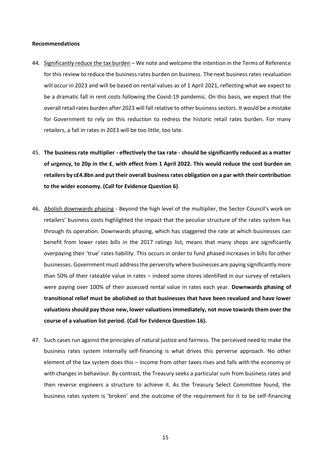#### **Recommendations**

- 44. Significantly reduce the tax burden We note and welcome the intention in the Terms of Reference for this review to reduce the business rates burden on business. The next business rates revaluation will occur in 2023 and will be based on rental values as of 1 April 2021, reflecting what we expect to be a dramatic fall in rent costs following the Covid-19 pandemic. On this basis, we expect that the overall retail rates burden after 2023 will fall relative to other business sectors. It would be a mistake for Government to rely on this reduction to redress the historic retail rates burden. For many retailers, a fall in rates in 2023 will be too little, too late.
- 45. **The business rate multiplier - effectively the tax rate - should be significantly reduced as a matter of urgency, to 20p in the £**, **with effect from 1 April 2022. This would reduce the cost burden on retailers by c£4.8bn and put their overall business rates obligation on a par with their contribution to the wider economy. (Call for Evidence Question 6)**.
- 46. Abolish downwards phasing Beyond the high level of the multiplier, the Sector Council's work on retailers' business costs highlighted the impact that the peculiar structure of the rates system has through its operation. Downwards phasing, which has staggered the rate at which businesses can benefit from lower rates bills in the 2017 ratings list, means that many shops are significantly overpaying their 'true' rates liability. This occurs in order to fund phased increases in bills for other businesses. Government must address the perversity where businesses are paying significantly more than 50% of their rateable value in rates – indeed some stores identified in our survey of retailers were paying over 100% of their assessed rental value in rates each year. **Downwards phasing of transitional relief must be abolished so that businesses that have been revalued and have lower valuations should pay those new, lower valuations immediately, not move towards them over the course of a valuation list period. (Call for Evidence Question 16).**
- 47. Such cases run against the principles of natural justice and fairness. The perceived need to make the business rates system internally self-financing is what drives this perverse approach. No other element of the tax system does this – income from other taxes rises and falls with the economy or with changes in behaviour. By contrast, the Treasury seeks a particular sum from business rates and then reverse engineers a structure to achieve it. As the Treasury Select Committee found, the business rates system is 'broken' and the outcome of the requirement for it to be self-financing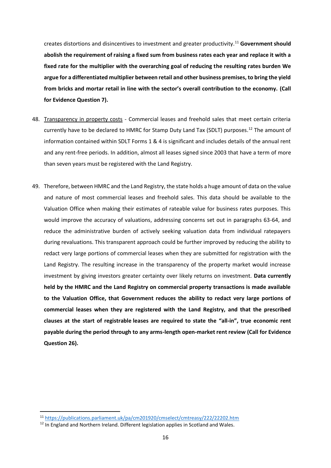creates distortions and disincentives to investment and greater productivity.<sup>11</sup> **Government should abolish the requirement of raising a fixed sum from business rates each year and replace it with a fixed rate for the multiplier with the overarching goal of reducing the resulting rates burden We argue for a differentiated multiplier between retail and other business premises, to bring the yield from bricks and mortar retail in line with the sector's overall contribution to the economy. (Call for Evidence Question 7).**

- 48. Transparency in property costs Commercial leases and freehold sales that meet certain criteria currently have to be declared to HMRC for Stamp Duty Land Tax (SDLT) purposes.<sup>12</sup> The amount of information contained within SDLT Forms 1 & 4 is significant and includes details of the annual rent and any rent-free periods. In addition, almost all leases signed since 2003 that have a term of more than seven years must be registered with the Land Registry.
- 49. Therefore, between HMRC and the Land Registry, the state holds a huge amount of data on the value and nature of most commercial leases and freehold sales. This data should be available to the Valuation Office when making their estimates of rateable value for business rates purposes. This would improve the accuracy of valuations, addressing concerns set out in paragraphs 63-64, and reduce the administrative burden of actively seeking valuation data from individual ratepayers during revaluations. This transparent approach could be further improved by reducing the ability to redact very large portions of commercial leases when they are submitted for registration with the Land Registry. The resulting increase in the transparency of the property market would increase investment by giving investors greater certainty over likely returns on investment. **Data currently held by the HMRC and the Land Registry on commercial property transactions is made available to the Valuation Office, that Government reduces the ability to redact very large portions of commercial leases when they are registered with the Land Registry, and that the prescribed clauses at the start of registrable leases are required to state the "all-in", true economic rent payable during the period through to any arms-length open-market rent review (Call for Evidence Question 26).**

<sup>11</sup> <https://publications.parliament.uk/pa/cm201920/cmselect/cmtreasy/222/22202.htm>

 $12$  In England and Northern Ireland. Different legislation applies in Scotland and Wales.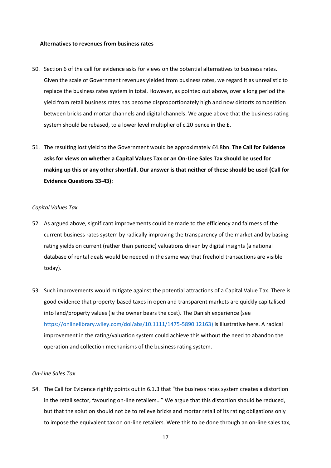#### **Alternatives to revenues from business rates**

- 50. Section 6 of the call for evidence asks for views on the potential alternatives to business rates. Given the scale of Government revenues yielded from business rates, we regard it as unrealistic to replace the business rates system in total. However, as pointed out above, over a long period the yield from retail business rates has become disproportionately high and now distorts competition between bricks and mortar channels and digital channels. We argue above that the business rating system should be rebased, to a lower level multiplier of c.20 pence in the £.
- 51. The resulting lost yield to the Government would be approximately £4.8bn. **The Call for Evidence asks for views on whether a Capital Values Tax or an On-Line Sales Tax should be used for making up this or any other shortfall. Our answer is that neither of these should be used (Call for Evidence Questions 33-43):**

#### *Capital Values Tax*

- 52. As argued above, significant improvements could be made to the efficiency and fairness of the current business rates system by radically improving the transparency of the market and by basing rating yields on current (rather than periodic) valuations driven by digital insights (a national database of rental deals would be needed in the same way that freehold transactions are visible today).
- 53. Such improvements would mitigate against the potential attractions of a Capital Value Tax. There is good evidence that property-based taxes in open and transparent markets are quickly capitalised into land/property values (ie the owner bears the cost). The Danish experience (see [https://onlinelibrary.wiley.com/doi/abs/10.1111/1475-5890.12163\)](https://onlinelibrary.wiley.com/doi/abs/10.1111/1475-5890.12163) is illustrative here. A radical improvement in the rating/valuation system could achieve this without the need to abandon the operation and collection mechanisms of the business rating system.

# *On-Line Sales Tax*

54. The Call for Evidence rightly points out in 6.1.3 that "the business rates system creates a distortion in the retail sector, favouring on-line retailers…" We argue that this distortion should be reduced, but that the solution should not be to relieve bricks and mortar retail of its rating obligations only to impose the equivalent tax on on-line retailers. Were this to be done through an on-line sales tax,